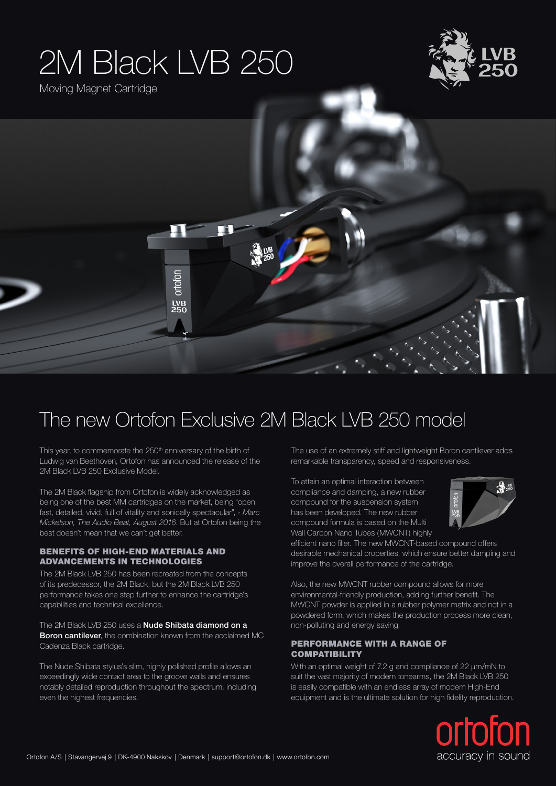# 2M Black LVB 250

Moving Magnet Cartridge





### The new Ortofon Exclusive 2M Black LVB 250 model

This year, to commemorate the 250<sup>th</sup> anniversary of the birth of Ludwig van Beethoven, Ortofon has announced the release of the 2M Black LVB 250 Exclusive Model.

The 2M Black flagship from Ortofon is widely acknowledged as being one of the best MM cartridges on the market, being "open, fast, detailed, vivid, full of vitality and sonically spectacular", *- Marc Mickelson, The Audio Beat, August 2016*. But at Ortofon being the best doesn't mean that we can't get better.

#### BENEFITS OF HIGH-END MATERIALS AND ADVANCEMENTS IN TECHNOLOGIES

The 2M Black LVB 250 has been recreated from the concepts of its predecessor, the 2M Black, but the 2M Black LVB 250 performance takes one step further to enhance the cartridge's capabilities and technical excellence.

The 2M Black LVB 250 uses a **Nude Shibata diamond on a Boron cantilever**, the combination known from the acclaimed MC Cadenza Black cartridge.

The Nude Shibata stylus's slim, highly polished profile allows an exceedingly wide contact area to the groove walls and ensures notably detailed reproduction throughout the spectrum, including even the highest frequencies.

The use of an extremely stiff and lightweight Boron cantilever adds remarkable transparency, speed and responsiveness.

To attain an optimal interaction between compliance and damping, a new rubber compound for the suspension system has been developed. The new rubber compound formula is based on the Multi Wall Carbon Nano Tubes (MWCNT) highly



efficient nano filler. The new MWCNT-based compound offers desirable mechanical properties, which ensure better damping and improve the overall performance of the cartridge.

Also, the new MWCNT rubber compound allows for more environmental-friendly production, adding further benefit. The MWCNT powder is applied in a rubber polymer matrix and not in a powdered form, which makes the production process more clean, non-polluting and energy saving.

#### PERFORMANCE WITH A RANGE OF **COMPATIBILITY**

With an optimal weight of 7.2 g and compliance of 22 μm/mN to suit the vast majority of modern tonearms, the 2M Black LVB 250 is easily compatible with an endless array of modern High-End equipment and is the ultimate solution for high fidelity reproduction.